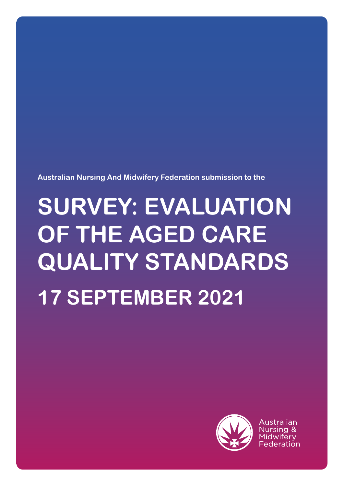**Australian Nursing And Midwifery Federation submission to the**

# **SURVEY: EVALUATION OF THE AGED CARE QUALITY STANDARDS 17 SEPTEMBER 2021**



Australian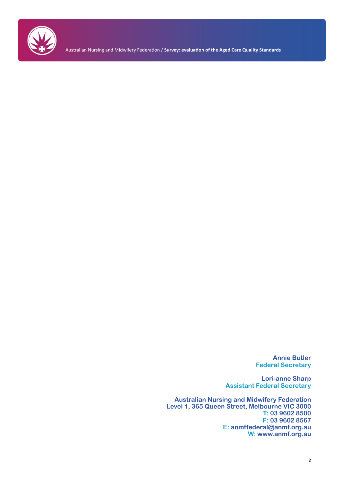

Australian Nursing and Midwifery Federation / **Survey: evaluation of the Aged Care Quality Standards**

**Annie Butler Federal Secretary**

**Lori-anne Sharp Assistant Federal Secretary**

**Australian Nursing and Midwifery Federation Level 1, 365 Queen Street, Melbourne VIC 3000 T: 03 9602 8500 F: 03 9602 8567 E: anmffederal@anmf.org.au W: www.anmf.org.au**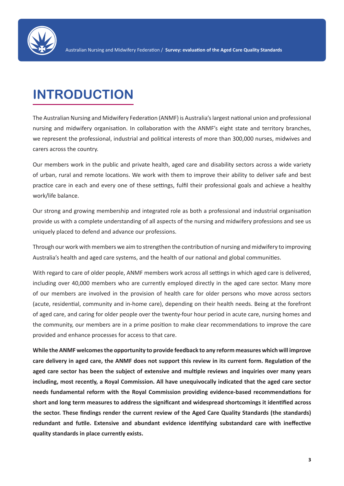

# **INTRODUCTION**

The Australian Nursing and Midwifery Federation (ANMF) is Australia's largest national union and professional nursing and midwifery organisation. In collaboration with the ANMF's eight state and territory branches, we represent the professional, industrial and political interests of more than 300,000 nurses, midwives and carers across the country.

Our members work in the public and private health, aged care and disability sectors across a wide variety of urban, rural and remote locations. We work with them to improve their ability to deliver safe and best practice care in each and every one of these settings, fulfil their professional goals and achieve a healthy work/life balance.

Our strong and growing membership and integrated role as both a professional and industrial organisation provide us with a complete understanding of all aspects of the nursing and midwifery professions and see us uniquely placed to defend and advance our professions.

Through our work with members we aim to strengthen the contribution of nursing and midwifery to improving Australia's health and aged care systems, and the health of our national and global communities.

With regard to care of older people, ANMF members work across all settings in which aged care is delivered, including over 40,000 members who are currently employed directly in the aged care sector. Many more of our members are involved in the provision of health care for older persons who move across sectors (acute, residential, community and in-home care), depending on their health needs. Being at the forefront of aged care, and caring for older people over the twenty-four hour period in acute care, nursing homes and the community, our members are in a prime position to make clear recommendations to improve the care provided and enhance processes for access to that care.

**While the ANMF welcomes the opportunity to provide feedback to any reform measures which will improve care delivery in aged care, the ANMF does not support this review in its current form. Regulation of the aged care sector has been the subject of extensive and multiple reviews and inquiries over many years including, most recently, a Royal Commission. All have unequivocally indicated that the aged care sector needs fundamental reform with the Royal Commission providing evidence-based recommendations for short and long term measures to address the significant and widespread shortcomings it identified across the sector. These findings render the current review of the Aged Care Quality Standards (the standards) redundant and futile. Extensive and abundant evidence identifying substandard care with ineffective quality standards in place currently exists.**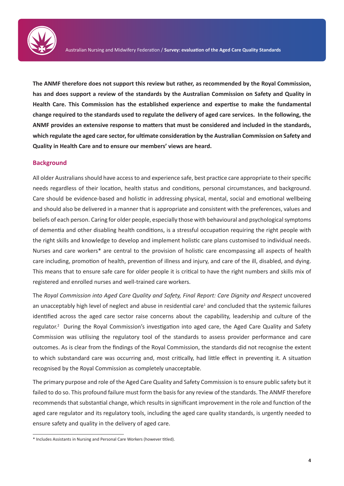

**The ANMF therefore does not support this review but rather, as recommended by the Royal Commission, has and does support a review of the standards by the Australian Commission on Safety and Quality in Health Care. This Commission has the established experience and expertise to make the fundamental change required to the standards used to regulate the delivery of aged care services. In the following, the ANMF provides an extensive response to matters that must be considered and included in the standards, which regulate the aged care sector, for ultimate consideration by the Australian Commission on Safety and Quality in Health Care and to ensure our members' views are heard.** 

#### **Background**

All older Australians should have access to and experience safe, best practice care appropriate to their specific needs regardless of their location, health status and conditions, personal circumstances, and background. Care should be evidence-based and holistic in addressing physical, mental, social and emotional wellbeing and should also be delivered in a manner that is appropriate and consistent with the preferences, values and beliefs of each person. Caring for older people, especially those with behavioural and psychological symptoms of dementia and other disabling health conditions, is a stressful occupation requiring the right people with the right skills and knowledge to develop and implement holistic care plans customised to individual needs. Nurses and care workers\* are central to the provision of holistic care encompassing all aspects of health care including, promotion of health, prevention of illness and injury, and care of the ill, disabled, and dying. This means that to ensure safe care for older people it is critical to have the right numbers and skills mix of registered and enrolled nurses and well-trained care workers.

The *Royal Commission into Aged Care Quality and Safety, Final Report: Care Dignity and Respect* uncovered an unacceptably high level of neglect and abuse in residential care<sup>1</sup> and concluded that the systemic failures identified across the aged care sector raise concerns about the capability, leadership and culture of the regulator.<sup>2</sup> During the Royal Commission's investigation into aged care, the Aged Care Quality and Safety Commission was utilising the regulatory tool of the standards to assess provider performance and care outcomes. As is clear from the findings of the Royal Commission, the standards did not recognise the extent to which substandard care was occurring and, most critically, had little effect in preventing it. A situation recognised by the Royal Commission as completely unacceptable.

The primary purpose and role of the Aged Care Quality and Safety Commission is to ensure public safety but it failed to do so. This profound failure must form the basis for any review of the standards. The ANMF therefore recommends that substantial change, which results in significant improvement in the role and function of the aged care regulator and its regulatory tools, including the aged care quality standards, is urgently needed to ensure safety and quality in the delivery of aged care.

<sup>\*</sup> Includes Assistants in Nursing and Personal Care Workers (however titled).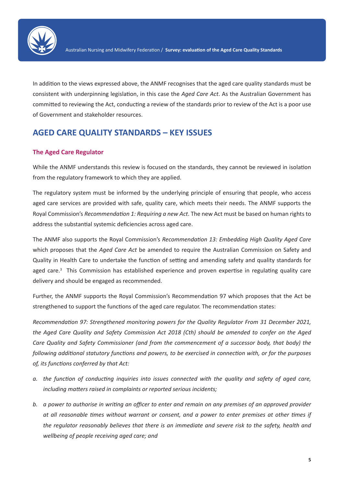

In addition to the views expressed above, the ANMF recognises that the aged care quality standards must be consistent with underpinning legislation, in this case the *Aged Care Act*. As the Australian Government has committed to reviewing the Act, conducting a review of the standards prior to review of the Act is a poor use of Government and stakeholder resources.

# **AGED CARE QUALITY STANDARDS – KEY ISSUES**

#### **The Aged Care Regulator**

While the ANMF understands this review is focused on the standards, they cannot be reviewed in isolation from the regulatory framework to which they are applied.

The regulatory system must be informed by the underlying principle of ensuring that people, who access aged care services are provided with safe, quality care, which meets their needs. The ANMF supports the Royal Commission's *Recommendation 1: Requiring a new Act*. The new Act must be based on human rights to address the substantial systemic deficiencies across aged care.

The ANMF also supports the Royal Commission's *Recommendation 13: Embedding High Quality Aged Care* which proposes that the *Aged Care Act* be amended to require the Australian Commission on Safety and Quality in Health Care to undertake the function of setting and amending safety and quality standards for aged care.<sup>3</sup> This Commission has established experience and proven expertise in regulating quality care delivery and should be engaged as recommended.

Further, the ANMF supports the Royal Commission's Recommendation 97 which proposes that the Act be strengthened to support the functions of the aged care regulator. The recommendation states:

*Recommendation 97: Strengthened monitoring powers for the Quality Regulator From 31 December 2021, the Aged Care Quality and Safety Commission Act 2018 (Cth) should be amended to confer on the Aged Care Quality and Safety Commissioner (and from the commencement of a successor body, that body) the following additional statutory functions and powers, to be exercised in connection with, or for the purposes of, its functions conferred by that Act:*

- *a. the function of conducting inquiries into issues connected with the quality and safety of aged care, including matters raised in complaints or reported serious incidents;*
- *b. a power to authorise in writing an officer to enter and remain on any premises of an approved provider at all reasonable times without warrant or consent, and a power to enter premises at other times if the regulator reasonably believes that there is an immediate and severe risk to the safety, health and wellbeing of people receiving aged care; and*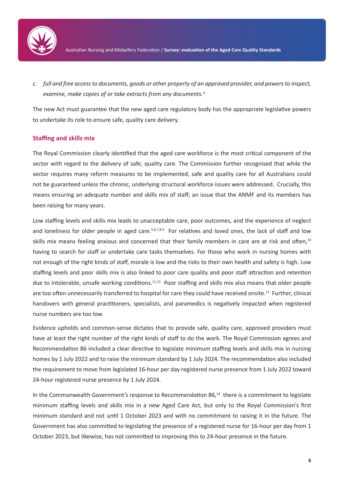

*c. full and free access to documents, goods or other property of an approved provider, and powers to inspect, examine, make copies of or take extracts from any documents.<sup>4</sup>*

The new Act must guarantee that the new aged care regulatory body has the appropriate legislative powers to undertake its role to ensure safe, quality care delivery.

#### **Staffing and skills mix**

The Royal Commission clearly identified that the aged care workforce is the most critical component of the sector with regard to the delivery of safe, quality care. The Commission further recognised that while the sector requires many reform measures to be implemented, safe and quality care for all Australians could not be guaranteed unless the chronic, underlying structural workforce issues were addressed. Crucially, this means ensuring an adequate number and skills mix of staff; an issue that the ANMF and its members has been raising for many years.

Low staffing levels and skills mix leads to unacceptable care, poor outcomes, and the experience of neglect and loneliness for older people in aged care.<sup>5,6,7,8,9</sup> For relatives and loved ones, the lack of staff and low skills mix means feeling anxious and concerned that their family members in care are at risk and often,<sup>10</sup> having to search for staff or undertake care tasks themselves. For those who work in nursing homes with not enough of the right kinds of staff, morale is low and the risks to their own health and safety is high. Low staffing levels and poor skills mix is also linked to poor care quality and poor staff attraction and retention due to intolerable, unsafe working conditions.<sup>11,12</sup> Poor staffing and skills mix also means that older people are too often unnecessarily transferred to hospital for care they could have received onsite.<sup>13</sup> Further, clinical handovers with general practitioners, specialists, and paramedics is negatively impacted when registered nurse numbers are too low.

Evidence upholds and common-sense dictates that to provide safe, quality care, approved providers must have at least the right number of the right kinds of staff to do the work. The Royal Commission agrees and Recommendation 86 included a clear directive to legislate minimum staffing levels and skills mix in nursing homes by 1 July 2022 and to raise the minimum standard by 1 July 2024. The recommendation also included the requirement to move from legislated 16-hour per day registered nurse presence from 1 July 2022 toward 24-hour registered nurse presence by 1 July 2024.

In the Commonwealth Government's response to Recommendation 86,<sup>14</sup> there is a commitment to legislate minimum staffing levels and skills mix in a new Aged Care Act, but only to the Royal Commission's first minimum standard and not until 1 October 2023 and with no commitment to raising it in the future. The Government has also committed to legislating the presence of a registered nurse for 16-hour per day from 1 October 2023, but likewise, has not committed to improving this to 24-hour presence in the future.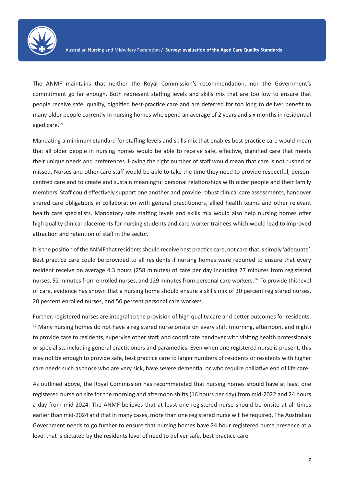

The ANMF maintains that neither the Royal Commission's recommendation, nor the Government's commitment go far enough. Both represent staffing levels and skills mix that are too low to ensure that people receive safe, quality, dignified best-practice care and are deferred for too long to deliver benefit to many older people currently in nursing homes who spend an average of 2 years and six months in residential aged care.<sup>15</sup>

Mandating a minimum standard for staffing levels and skills mix that enables best practice care would mean that all older people in nursing homes would be able to receive safe, effective, dignified care that meets their unique needs and preferences. Having the right number of staff would mean that care is not rushed or missed. Nurses and other care staff would be able to take the time they need to provide respectful, personcentred care and to create and sustain meaningful personal relationships with older people and their family members. Staff could effectively support one another and provide robust clinical care assessments, handover shared care obligations in collaboration with general practitioners, allied health teams and other relevant health care specialists. Mandatory safe staffing levels and skills mix would also help nursing homes offer high quality clinical placements for nursing students and care worker trainees which would lead to improved attraction and retention of staff in the sector.

It is the position of the ANMF that residents should receive best practice care, not care that is simply 'adequate'. Best practice care could be provided to all residents if nursing homes were required to ensure that every resident receive on average 4.3 hours (258 minutes) of care per day including 77 minutes from registered nurses, 52 minutes from enrolled nurses, and 129 minutes from personal care workers.16 To provide this level of care, evidence has shown that a nursing home should ensure a skills mix of 30 percent registered nurses, 20 percent enrolled nurses, and 50 percent personal care workers.

Further, registered nurses are integral to the provision of high quality care and better outcomes for residents. <sup>17</sup> Many nursing homes do not have a registered nurse onsite on every shift (morning, afternoon, and night) to provide care to residents, supervise other staff, and coordinate handover with visiting health professionals or specialists including general practitioners and paramedics. Even when one registered nurse is present, this may not be enough to provide safe, best practice care to larger numbers of residents or residents with higher care needs such as those who are very sick, have severe dementia, or who require palliative end of life care.

As outlined above, the Royal Commission has recommended that nursing homes should have at least one registered nurse on site for the morning and afternoon shifts (16 hours per day) from mid-2022 and 24 hours a day from mid-2024. The ANMF believes that at least one registered nurse should be onsite at all times earlier than mid-2024 and that in many cases, more than one registered nurse will be required. The Australian Government needs to go further to ensure that nursing homes have 24 hour registered nurse presence at a level that is dictated by the residents level of need to deliver safe, best practice care.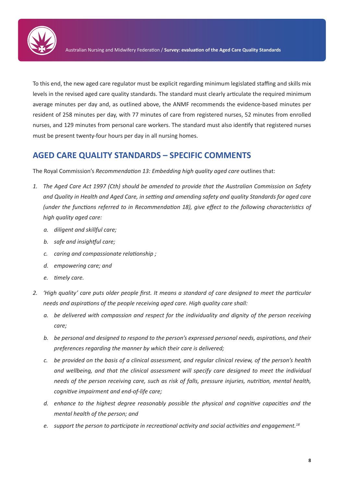

To this end, the new aged care regulator must be explicit regarding minimum legislated staffing and skills mix levels in the revised aged care quality standards. The standard must clearly articulate the required minimum average minutes per day and, as outlined above, the ANMF recommends the evidence-based minutes per resident of 258 minutes per day, with 77 minutes of care from registered nurses, 52 minutes from enrolled nurses, and 129 minutes from personal care workers. The standard must also identify that registered nurses must be present twenty-four hours per day in all nursing homes.

## **AGED CARE QUALITY STANDARDS – SPECIFIC COMMENTS**

The Royal Commission's *Recommendation 13: Embedding high quality aged care* outlines that:

- *1. The Aged Care Act 1997 (Cth) should be amended to provide that the Australian Commission on Safety and Quality in Health and Aged Care, in setting and amending safety and quality Standards for aged care (under the functions referred to in Recommendation 18), give effect to the following characteristics of high quality aged care:* 
	- *a. diligent and skillful care;*
	- *b. safe and insightful care;*
	- *c. caring and compassionate relationship ;*
	- *d. empowering care; and*
	- *e. timely care.*
- *2. 'High quality' care puts older people first. It means a standard of care designed to meet the particular needs and aspirations of the people receiving aged care. High quality care shall:* 
	- *a. be delivered with compassion and respect for the individuality and dignity of the person receiving care;*
	- *b. be personal and designed to respond to the person's expressed personal needs, aspirations, and their preferences regarding the manner by which their care is delivered;*
	- *c. be provided on the basis of a clinical assessment, and regular clinical review, of the person's health and wellbeing, and that the clinical assessment will specify care designed to meet the individual needs of the person receiving care, such as risk of falls, pressure injuries, nutrition, mental health, cognitive impairment and end-of-life care;*
	- *d. enhance to the highest degree reasonably possible the physical and cognitive capacities and the mental health of the person; and*
	- *e. support the person to participate in recreational activity and social activities and engagement.18*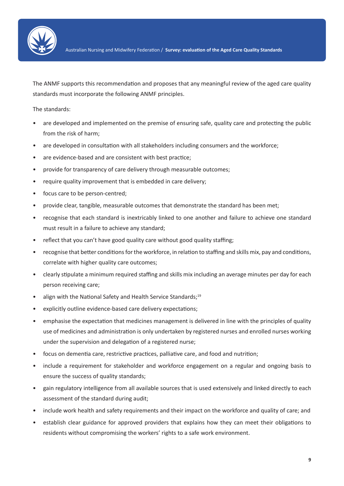

The ANMF supports this recommendation and proposes that any meaningful review of the aged care quality standards must incorporate the following ANMF principles.

The standards:

- are developed and implemented on the premise of ensuring safe, quality care and protecting the public from the risk of harm;
- are developed in consultation with all stakeholders including consumers and the workforce;
- are evidence-based and are consistent with best practice;
- provide for transparency of care delivery through measurable outcomes;
- require quality improvement that is embedded in care delivery;
- focus care to be person-centred;
- provide clear, tangible, measurable outcomes that demonstrate the standard has been met;
- recognise that each standard is inextricably linked to one another and failure to achieve one standard must result in a failure to achieve any standard;
- reflect that you can't have good quality care without good quality staffing;
- recognise that better conditions for the workforce, in relation to staffing and skills mix, pay and conditions, correlate with higher quality care outcomes;
- clearly stipulate a minimum required staffing and skills mix including an average minutes per day for each person receiving care;
- align with the National Safety and Health Service Standards;<sup>19</sup>
- explicitly outline evidence-based care delivery expectations;
- emphasise the expectation that medicines management is delivered in line with the principles of quality use of medicines and administration is only undertaken by registered nurses and enrolled nurses working under the supervision and delegation of a registered nurse;
- focus on dementia care, restrictive practices, palliative care, and food and nutrition;
- include a requirement for stakeholder and workforce engagement on a regular and ongoing basis to ensure the success of quality standards;
- gain regulatory intelligence from all available sources that is used extensively and linked directly to each assessment of the standard during audit;
- include work health and safety requirements and their impact on the workforce and quality of care; and
- establish clear guidance for approved providers that explains how they can meet their obligations to residents without compromising the workers' rights to a safe work environment.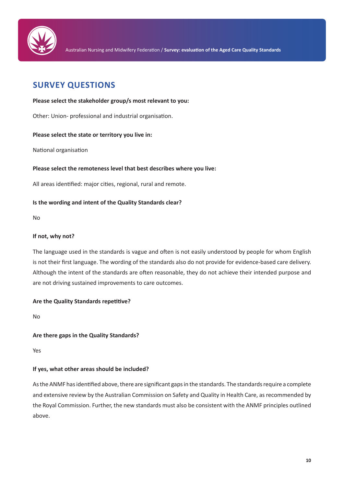

# **SURVEY QUESTIONS**

#### **Please select the stakeholder group/s most relevant to you:**

Other: Union- professional and industrial organisation.

#### **Please select the state or territory you live in:**

National organisation

#### **Please select the remoteness level that best describes where you live:**

All areas identified: major cities, regional, rural and remote.

#### **Is the wording and intent of the Quality Standards clear?**

No

#### **If not, why not?**

The language used in the standards is vague and often is not easily understood by people for whom English is not their first language. The wording of the standards also do not provide for evidence-based care delivery. Although the intent of the standards are often reasonable, they do not achieve their intended purpose and are not driving sustained improvements to care outcomes.

#### **Are the Quality Standards repetitive?**

No

#### **Are there gaps in the Quality Standards?**

Yes

#### **If yes, what other areas should be included?**

As the ANMF has identified above, there are significant gaps in the standards. The standards require a complete and extensive review by the Australian Commission on Safety and Quality in Health Care, as recommended by the Royal Commission. Further, the new standards must also be consistent with the ANMF principles outlined above.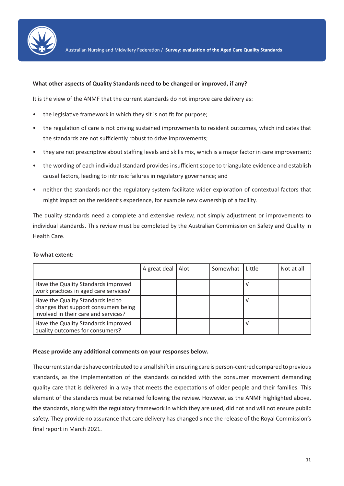

#### **What other aspects of Quality Standards need to be changed or improved, if any?**

It is the view of the ANMF that the current standards do not improve care delivery as:

- the legislative framework in which they sit is not fit for purpose;
- the regulation of care is not driving sustained improvements to resident outcomes, which indicates that the standards are not sufficiently robust to drive improvements;
- they are not prescriptive about staffing levels and skills mix, which is a major factor in care improvement;
- the wording of each individual standard provides insufficient scope to triangulate evidence and establish causal factors, leading to intrinsic failures in regulatory governance; and
- neither the standards nor the regulatory system facilitate wider exploration of contextual factors that might impact on the resident's experience, for example new ownership of a facility.

The quality standards need a complete and extensive review, not simply adjustment or improvements to individual standards. This review must be completed by the Australian Commission on Safety and Quality in Health Care.

#### **To what extent:**

|                                                                                                                   | A great deal | l Alot | Somewhat | Little | Not at all |
|-------------------------------------------------------------------------------------------------------------------|--------------|--------|----------|--------|------------|
| Have the Quality Standards improved<br>work practices in aged care services?                                      |              |        |          |        |            |
| Have the Quality Standards led to<br>changes that support consumers being<br>involved in their care and services? |              |        |          |        |            |
| Have the Quality Standards improved<br>quality outcomes for consumers?                                            |              |        |          |        |            |

#### **Please provide any additional comments on your responses below.**

The current standards have contributed to a small shift in ensuring care is person-centred compared to previous standards, as the implementation of the standards coincided with the consumer movement demanding quality care that is delivered in a way that meets the expectations of older people and their families. This element of the standards must be retained following the review. However, as the ANMF highlighted above, the standards, along with the regulatory framework in which they are used, did not and will not ensure public safety. They provide no assurance that care delivery has changed since the release of the Royal Commission's final report in March 2021.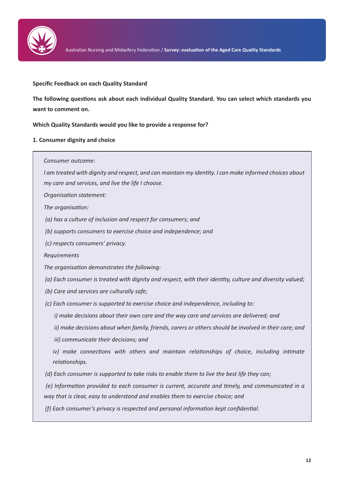

#### **Specific Feedback on each Quality Standard**

**The following questions ask about each individual Quality Standard. You can select which standards you want to comment on.**

**Which Quality Standards would you like to provide a response for?**

#### **1. Consumer dignity and choice**

*Consumer outcome:*

*I am treated with dignity and respect, and can maintain my identity. I can make informed choices about my care and services, and live the life I choose.*

*Organisation statement:*

*The organisation:*

 *(a) has a culture of inclusion and respect for consumers; and*

 *(b) supports consumers to exercise choice and independence; and*

 *(c) respects consumers' privacy.*

*Requirements*

*The organisation demonstrates the following:*

 *(a) Each consumer is treated with dignity and respect, with their identity, culture and diversity valued;*

 *(b) Care and services are culturally safe;*

 *(c) Each consumer is supported to exercise choice and independence, including to:*

 *i) make decisions about their own care and the way care and services are delivered; and*

 *ii) make decisions about when family, friends, carers or others should be involved in their care; and*

 *iii) communicate their decisions; and*

*iv*) make connections with others and maintain relationships of choice, including intimate *relationships.*

 *(d) Each consumer is supported to take risks to enable them to live the best life they can;*

 *(e) Information provided to each consumer is current, accurate and timely, and communicated in a way that is clear, easy to understand and enables them to exercise choice; and*

 *(f) Each consumer's privacy is respected and personal information kept confidential.*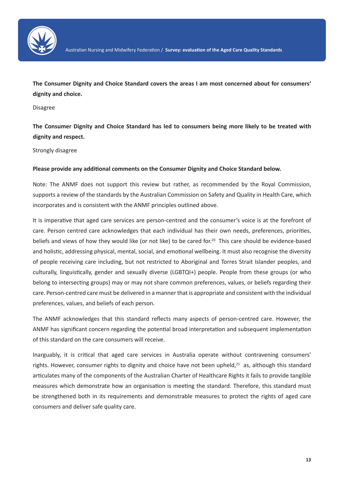

**The Consumer Dignity and Choice Standard covers the areas I am most concerned about for consumers' dignity and choice.**

Disagree

**The Consumer Dignity and Choice Standard has led to consumers being more likely to be treated with dignity and respect.**

Strongly disagree

#### **Please provide any additional comments on the Consumer Dignity and Choice Standard below.**

Note: The ANMF does not support this review but rather, as recommended by the Royal Commission, supports a review of the standards by the Australian Commission on Safety and Quality in Health Care, which incorporates and is consistent with the ANMF principles outlined above.

It is imperative that aged care services are person-centred and the consumer's voice is at the forefront of care. Person centred care acknowledges that each individual has their own needs, preferences, priorities, beliefs and views of how they would like (or not like) to be cared for.<sup>20</sup> This care should be evidence-based and holistic, addressing physical, mental, social, and emotional wellbeing. It must also recognise the diversity of people receiving care including, but not restricted to Aboriginal and Torres Strait Islander peoples, and culturally, linguistically, gender and sexually diverse (LGBTQI+) people. People from these groups (or who belong to intersecting groups) may or may not share common preferences, values, or beliefs regarding their care. Person-centred care must be delivered in a manner that is appropriate and consistent with the individual preferences, values, and beliefs of each person.

The ANMF acknowledges that this standard reflects many aspects of person-centred care. However, the ANMF has significant concern regarding the potential broad interpretation and subsequent implementation of this standard on the care consumers will receive.

Inarguably, it is critical that aged care services in Australia operate without contravening consumers' rights. However, consumer rights to dignity and choice have not been upheld, $21$  as, although this standard articulates many of the components of the Australian Charter of Healthcare Rights it fails to provide tangible measures which demonstrate how an organisation is meeting the standard. Therefore, this standard must be strengthened both in its requirements and demonstrable measures to protect the rights of aged care consumers and deliver safe quality care.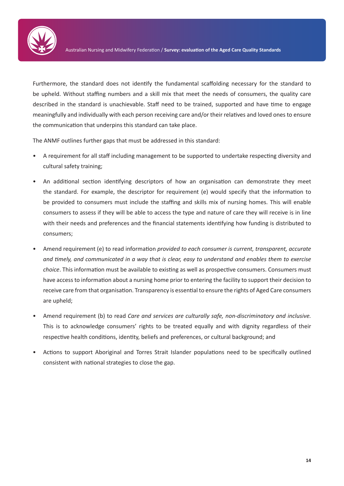

Furthermore, the standard does not identify the fundamental scaffolding necessary for the standard to be upheld. Without staffing numbers and a skill mix that meet the needs of consumers, the quality care described in the standard is unachievable. Staff need to be trained, supported and have time to engage meaningfully and individually with each person receiving care and/or their relatives and loved ones to ensure the communication that underpins this standard can take place.

The ANMF outlines further gaps that must be addressed in this standard:

- A requirement for all staff including management to be supported to undertake respecting diversity and cultural safety training;
- An additional section identifying descriptors of how an organisation can demonstrate they meet the standard. For example, the descriptor for requirement (e) would specify that the information to be provided to consumers must include the staffing and skills mix of nursing homes. This will enable consumers to assess if they will be able to access the type and nature of care they will receive is in line with their needs and preferences and the financial statements identifying how funding is distributed to consumers;
- Amend requirement (e) to read information *provided to each consumer is current, transparent, accurate and timely, and communicated in a way that is clear, easy to understand and enables them to exercise choice*. This information must be available to existing as well as prospective consumers. Consumers must have access to information about a nursing home prior to entering the facility to support their decision to receive care from that organisation. Transparency is essential to ensure the rights of Aged Care consumers are upheld;
- Amend requirement (b) to read *Care and services are culturally safe, non-discriminatory and inclusive.* This is to acknowledge consumers' rights to be treated equally and with dignity regardless of their respective health conditions, identity, beliefs and preferences, or cultural background; and
- Actions to support Aboriginal and Torres Strait Islander populations need to be specifically outlined consistent with national strategies to close the gap.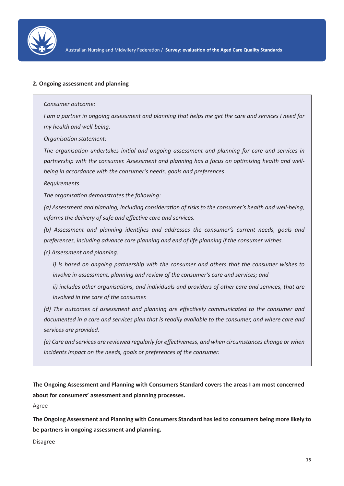

#### **2. Ongoing assessment and planning**

*Consumer outcome:*

*I am a partner in ongoing assessment and planning that helps me get the care and services I need for my health and well-being.*

*Organisation statement:*

*The organisation undertakes initial and ongoing assessment and planning for care and services in partnership with the consumer. Assessment and planning has a focus on optimising health and wellbeing in accordance with the consumer's needs, goals and preferences*

*Requirements*

*The organisation demonstrates the following:*

*(a) Assessment and planning, including consideration of risks to the consumer's health and well-being, informs the delivery of safe and effective care and services.*

*(b) Assessment and planning identifies and addresses the consumer's current needs, goals and preferences, including advance care planning and end of life planning if the consumer wishes.*

*(c) Assessment and planning:*

*i) is based on ongoing partnership with the consumer and others that the consumer wishes to involve in assessment, planning and review of the consumer's care and services; and*

*ii) includes other organisations, and individuals and providers of other care and services, that are involved in the care of the consumer.*

*(d) The outcomes of assessment and planning are effectively communicated to the consumer and documented in a care and services plan that is readily available to the consumer, and where care and services are provided.*

*(e) Care and services are reviewed regularly for effectiveness, and when circumstances change or when incidents impact on the needs, goals or preferences of the consumer.*

**The Ongoing Assessment and Planning with Consumers Standard covers the areas I am most concerned about for consumers' assessment and planning processes.**

Agree

**The Ongoing Assessment and Planning with Consumers Standard has led to consumers being more likely to be partners in ongoing assessment and planning.**

Disagree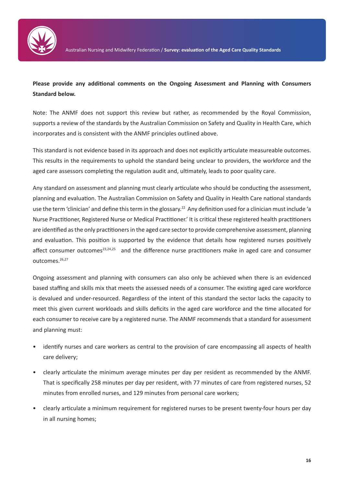

### **Please provide any additional comments on the Ongoing Assessment and Planning with Consumers Standard below.**

Note: The ANMF does not support this review but rather, as recommended by the Royal Commission, supports a review of the standards by the Australian Commission on Safety and Quality in Health Care, which incorporates and is consistent with the ANMF principles outlined above.

This standard is not evidence based in its approach and does not explicitly articulate measureable outcomes. This results in the requirements to uphold the standard being unclear to providers, the workforce and the aged care assessors completing the regulation audit and, ultimately, leads to poor quality care.

Any standard on assessment and planning must clearly articulate who should be conducting the assessment, planning and evaluation. The Australian Commission on Safety and Quality in Health Care national standards use the term 'clinician' and define this term in the glossary.<sup>22</sup> Any definition used for a clinician must include 'a Nurse Practitioner, Registered Nurse or Medical Practitioner.' It is critical these registered health practitioners are identified as the only practitioners in the aged care sector to provide comprehensive assessment, planning and evaluation. This position is supported by the evidence that details how registered nurses positively affect consumer outcomes<sup>23,24,25</sup> and the difference nurse practitioners make in aged care and consumer outcomes.26,27

Ongoing assessment and planning with consumers can also only be achieved when there is an evidenced based staffing and skills mix that meets the assessed needs of a consumer. The existing aged care workforce is devalued and under-resourced. Regardless of the intent of this standard the sector lacks the capacity to meet this given current workloads and skills deficits in the aged care workforce and the time allocated for each consumer to receive care by a registered nurse. The ANMF recommends that a standard for assessment and planning must:

- identify nurses and care workers as central to the provision of care encompassing all aspects of health care delivery;
- clearly articulate the minimum average minutes per day per resident as recommended by the ANMF. That is specifically 258 minutes per day per resident, with 77 minutes of care from registered nurses, 52 minutes from enrolled nurses, and 129 minutes from personal care workers;
- clearly articulate a minimum requirement for registered nurses to be present twenty-four hours per day in all nursing homes;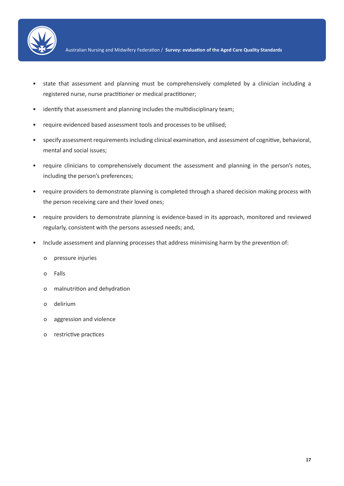

- state that assessment and planning must be comprehensively completed by a clinician including a registered nurse, nurse practitioner or medical practitioner;
- identify that assessment and planning includes the multidisciplinary team;
- require evidenced based assessment tools and processes to be utilised;
- specify assessment requirements including clinical examination, and assessment of cognitive, behavioral, mental and social issues;
- require clinicians to comprehensively document the assessment and planning in the person's notes, including the person's preferences;
- require providers to demonstrate planning is completed through a shared decision making process with the person receiving care and their loved ones;
- require providers to demonstrate planning is evidence-based in its approach, monitored and reviewed regularly, consistent with the persons assessed needs; and,
- Include assessment and planning processes that address minimising harm by the prevention of:
	- o pressure injuries
	- o Falls
	- o malnutrition and dehydration
	- o delirium
	- o aggression and violence
	- o restrictive practices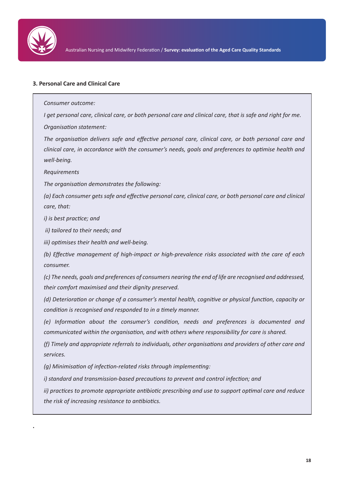

#### **3. Personal Care and Clinical Care**

*Consumer outcome:*

*I get personal care, clinical care, or both personal care and clinical care, that is safe and right for me. Organisation statement:*

*The organisation delivers safe and effective personal care, clinical care, or both personal care and clinical care, in accordance with the consumer's needs, goals and preferences to optimise health and well-being.*

*Requirements*

**.**

*The organisation demonstrates the following:*

*(a) Each consumer gets safe and effective personal care, clinical care, or both personal care and clinical care, that:*

*i) is best practice; and*

 *ii) tailored to their needs; and*

*iii) optimises their health and well-being.*

*(b) Effective management of high-impact or high-prevalence risks associated with the care of each consumer.*

*(c) The needs, goals and preferences of consumers nearing the end of life are recognised and addressed, their comfort maximised and their dignity preserved.*

*(d) Deterioration or change of a consumer's mental health, cognitive or physical function, capacity or condition is recognised and responded to in a timely manner.*

*(e) Information about the consumer's condition, needs and preferences is documented and communicated within the organisation, and with others where responsibility for care is shared.*

*(f) Timely and appropriate referrals to individuals, other organisations and providers of other care and services.*

*(g) Minimisation of infection-related risks through implementing:*

*i) standard and transmission-based precautions to prevent and control infection; and*

*ii) practices to promote appropriate antibiotic prescribing and use to support optimal care and reduce the risk of increasing resistance to antibiotics.*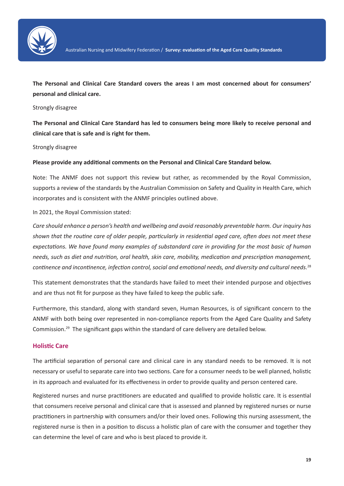

**The Personal and Clinical Care Standard covers the areas I am most concerned about for consumers' personal and clinical care.**

#### Strongly disagree

**The Personal and Clinical Care Standard has led to consumers being more likely to receive personal and clinical care that is safe and is right for them.**

#### Strongly disagree

#### **Please provide any additional comments on the Personal and Clinical Care Standard below.**

Note: The ANMF does not support this review but rather, as recommended by the Royal Commission, supports a review of the standards by the Australian Commission on Safety and Quality in Health Care, which incorporates and is consistent with the ANMF principles outlined above.

#### In 2021, the Royal Commission stated:

*Care should enhance a person's health and wellbeing and avoid reasonably preventable harm. Our inquiry has shown that the routine care of older people, particularly in residential aged care, often does not meet these expectations. We have found many examples of substandard care in providing for the most basic of human needs, such as diet and nutrition, oral health, skin care, mobility, medication and prescription management, continence and incontinence, infection control, social and emotional needs, and diversity and cultural needs.*<sup>28</sup>

This statement demonstrates that the standards have failed to meet their intended purpose and objectives and are thus not fit for purpose as they have failed to keep the public safe.

Furthermore, this standard, along with standard seven, Human Resources, is of significant concern to the ANMF with both being over represented in non-compliance reports from the Aged Care Quality and Safety Commission.29 The significant gaps within the standard of care delivery are detailed below.

#### **Holistic Care**

The artificial separation of personal care and clinical care in any standard needs to be removed. It is not necessary or useful to separate care into two sections. Care for a consumer needs to be well planned, holistic in its approach and evaluated for its effectiveness in order to provide quality and person centered care.

Registered nurses and nurse practitioners are educated and qualified to provide holistic care. It is essential that consumers receive personal and clinical care that is assessed and planned by registered nurses or nurse practitioners in partnership with consumers and/or their loved ones. Following this nursing assessment, the registered nurse is then in a position to discuss a holistic plan of care with the consumer and together they can determine the level of care and who is best placed to provide it.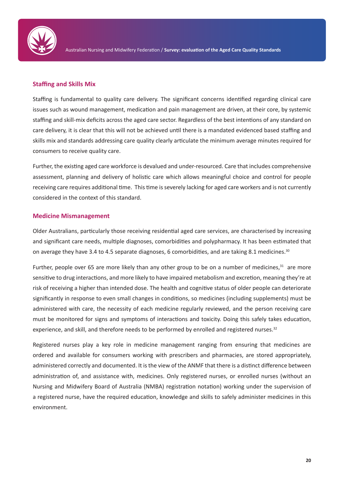

#### **Staffing and Skills Mix**

Staffing is fundamental to quality care delivery. The significant concerns identified regarding clinical care issues such as wound management, medication and pain management are driven, at their core, by systemic staffing and skill-mix deficits across the aged care sector. Regardless of the best intentions of any standard on care delivery, it is clear that this will not be achieved until there is a mandated evidenced based staffing and skills mix and standards addressing care quality clearly articulate the minimum average minutes required for consumers to receive quality care.

Further, the existing aged care workforce is devalued and under-resourced. Care that includes comprehensive assessment, planning and delivery of holistic care which allows meaningful choice and control for people receiving care requires additional time. This time is severely lacking for aged care workers and is not currently considered in the context of this standard.

#### **Medicine Mismanagement**

Older Australians, particularly those receiving residential aged care services, are characterised by increasing and significant care needs, multiple diagnoses, comorbidities and polypharmacy. It has been estimated that on average they have 3.4 to 4.5 separate diagnoses, 6 comorbidities, and are taking 8.1 medicines.<sup>30</sup>

Further, people over 65 are more likely than any other group to be on a number of medicines, $31$  are more sensitive to drug interactions, and more likely to have impaired metabolism and excretion, meaning they're at risk of receiving a higher than intended dose. The health and cognitive status of older people can deteriorate significantly in response to even small changes in conditions, so medicines (including supplements) must be administered with care, the necessity of each medicine regularly reviewed, and the person receiving care must be monitored for signs and symptoms of interactions and toxicity. Doing this safely takes education, experience, and skill, and therefore needs to be performed by enrolled and registered nurses.<sup>32</sup>

Registered nurses play a key role in medicine management ranging from ensuring that medicines are ordered and available for consumers working with prescribers and pharmacies, are stored appropriately, administered correctly and documented. It is the view of the ANMF that there is a distinct difference between administration of, and assistance with, medicines. Only registered nurses, or enrolled nurses (without an Nursing and Midwifery Board of Australia (NMBA) registration notation) working under the supervision of a registered nurse, have the required education, knowledge and skills to safely administer medicines in this environment.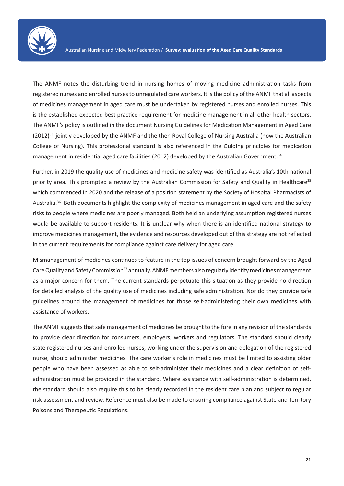

The ANMF notes the disturbing trend in nursing homes of moving medicine administration tasks from registered nurses and enrolled nurses to unregulated care workers. It is the policy of the ANMF that all aspects of medicines management in aged care must be undertaken by registered nurses and enrolled nurses. This is the established expected best practice requirement for medicine management in all other health sectors. The ANMF's policy is outlined in the document Nursing Guidelines for Medication Management in Aged Care (2012)33 jointly developed by the ANMF and the then Royal College of Nursing Australia (now the Australian College of Nursing). This professional standard is also referenced in the Guiding principles for medication management in residential aged care facilities (2012) developed by the Australian Government.34

Further, in 2019 the quality use of medicines and medicine safety was identified as Australia's 10th national priority area. This prompted a review by the Australian Commission for Safety and Quality in Healthcare<sup>35</sup> which commenced in 2020 and the release of a position statement by the Society of Hospital Pharmacists of Australia.<sup>36</sup> Both documents highlight the complexity of medicines management in aged care and the safety risks to people where medicines are poorly managed. Both held an underlying assumption registered nurses would be available to support residents. It is unclear why when there is an identified national strategy to improve medicines management, the evidence and resources developed out of this strategy are not reflected in the current requirements for compliance against care delivery for aged care.

Mismanagement of medicines continues to feature in the top issues of concern brought forward by the Aged Care Quality and Safety Commission<sup>37</sup> annually. ANMF members also regularly identify medicines management as a major concern for them. The current standards perpetuate this situation as they provide no direction for detailed analysis of the quality use of medicines including safe administration. Nor do they provide safe guidelines around the management of medicines for those self-administering their own medicines with assistance of workers.

The ANMF suggests that safe management of medicines be brought to the fore in any revision of the standards to provide clear direction for consumers, employers, workers and regulators. The standard should clearly state registered nurses and enrolled nurses, working under the supervision and delegation of the registered nurse, should administer medicines. The care worker's role in medicines must be limited to assisting older people who have been assessed as able to self-administer their medicines and a clear definition of selfadministration must be provided in the standard. Where assistance with self-administration is determined, the standard should also require this to be clearly recorded in the resident care plan and subject to regular risk-assessment and review. Reference must also be made to ensuring compliance against State and Territory Poisons and Therapeutic Regulations.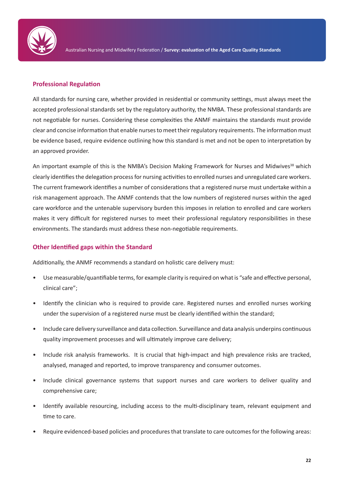

#### **Professional Regulation**

All standards for nursing care, whether provided in residential or community settings, must always meet the accepted professional standards set by the regulatory authority, the NMBA. These professional standards are not negotiable for nurses. Considering these complexities the ANMF maintains the standards must provide clear and concise information that enable nurses to meet their regulatory requirements. The information must be evidence based, require evidence outlining how this standard is met and not be open to interpretation by an approved provider.

An important example of this is the NMBA's Decision Making Framework for Nurses and Midwives<sup>38</sup> which clearly identifies the delegation process for nursing activities to enrolled nurses and unregulated care workers. The current framework identifies a number of considerations that a registered nurse must undertake within a risk management approach. The ANMF contends that the low numbers of registered nurses within the aged care workforce and the untenable supervisory burden this imposes in relation to enrolled and care workers makes it very difficult for registered nurses to meet their professional regulatory responsibilities in these environments. The standards must address these non-negotiable requirements.

#### **Other Identified gaps within the Standard**

Additionally, the ANMF recommends a standard on holistic care delivery must:

- Use measurable/quantifiable terms, for example clarity is required on what is "safe and effective personal, clinical care";
- Identify the clinician who is required to provide care. Registered nurses and enrolled nurses working under the supervision of a registered nurse must be clearly identified within the standard;
- Include care delivery surveillance and data collection. Surveillance and data analysis underpins continuous quality improvement processes and will ultimately improve care delivery;
- Include risk analysis frameworks. It is crucial that high-impact and high prevalence risks are tracked, analysed, managed and reported, to improve transparency and consumer outcomes.
- Include clinical governance systems that support nurses and care workers to deliver quality and comprehensive care;
- Identify available resourcing, including access to the multi-disciplinary team, relevant equipment and time to care.
- Require evidenced-based policies and procedures that translate to care outcomes for the following areas: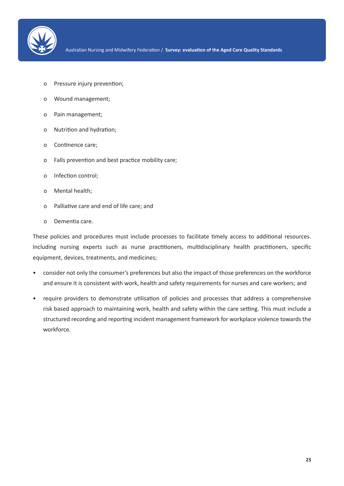

- o Pressure injury prevention;
- o Wound management;
- o Pain management;
- o Nutrition and hydration;
- o Continence care;
- o Falls prevention and best practice mobility care;
- o Infection control;
- o Mental health;
- o Palliative care and end of life care; and
- o Dementia care.

These policies and procedures must include processes to facilitate timely access to additional resources. Including nursing experts such as nurse practitioners, multidisciplinary health practitioners, specific equipment, devices, treatments, and medicines;

- consider not only the consumer's preferences but also the impact of those preferences on the workforce and ensure it is consistent with work, health and safety requirements for nurses and care workers; and
- require providers to demonstrate utilisation of policies and processes that address a comprehensive risk based approach to maintaining work, health and safety within the care setting. This must include a structured recording and reporting incident management framework for workplace violence towards the workforce.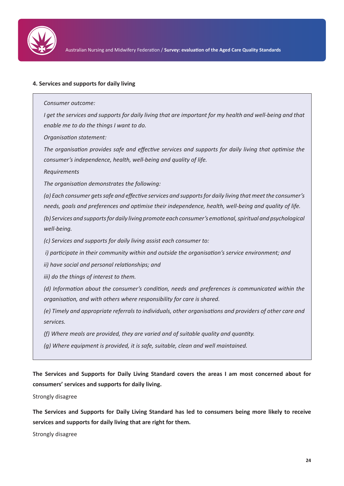

#### **4. Services and supports for daily living**

*Consumer outcome:*

*I* get the services and supports for daily living that are important for my health and well-being and that *enable me to do the things I want to do.*

*Organisation statement:*

*The organisation provides safe and effective services and supports for daily living that optimise the consumer's independence, health, well-being and quality of life.*

*Requirements*

*The organisation demonstrates the following:*

*(a) Each consumer gets safe and effective services and supports for daily living that meet the consumer's needs, goals and preferences and optimise their independence, health, well-being and quality of life.*

*(b) Services and supports for daily living promote each consumer's emotional, spiritual and psychological well-being.*

*(c) Services and supports for daily living assist each consumer to:*

 *i) participate in their community within and outside the organisation's service environment; and*

*ii) have social and personal relationships; and*

*iii) do the things of interest to them.*

*(d) Information about the consumer's condition, needs and preferences is communicated within the organisation, and with others where responsibility for care is shared.*

*(e) Timely and appropriate referrals to individuals, other organisations and providers of other care and services.*

*(f) Where meals are provided, they are varied and of suitable quality and quantity.*

*(g) Where equipment is provided, it is safe, suitable, clean and well maintained.*

**The Services and Supports for Daily Living Standard covers the areas I am most concerned about for consumers' services and supports for daily living.**

Strongly disagree

**The Services and Supports for Daily Living Standard has led to consumers being more likely to receive services and supports for daily living that are right for them.**

Strongly disagree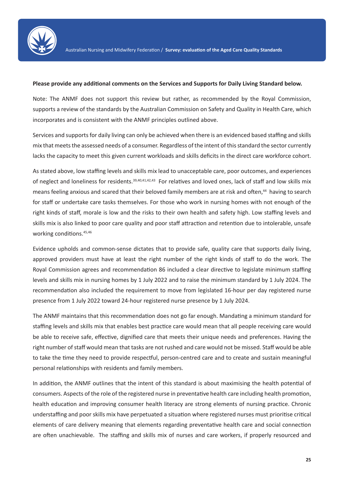

#### **Please provide any additional comments on the Services and Supports for Daily Living Standard below.**

Note: The ANMF does not support this review but rather, as recommended by the Royal Commission, supports a review of the standards by the Australian Commission on Safety and Quality in Health Care, which incorporates and is consistent with the ANMF principles outlined above.

Services and supports for daily living can only be achieved when there is an evidenced based staffing and skills mix that meets the assessed needs of a consumer. Regardless of the intent of this standard the sector currently lacks the capacity to meet this given current workloads and skills deficits in the direct care workforce cohort.

As stated above, low staffing levels and skills mix lead to unacceptable care, poor outcomes, and experiences of neglect and loneliness for residents.<sup>39,40,41,42,43</sup> For relatives and loved ones, lack of staff and low skills mix means feeling anxious and scared that their beloved family members are at risk and often,<sup>44</sup> having to search for staff or undertake care tasks themselves. For those who work in nursing homes with not enough of the right kinds of staff, morale is low and the risks to their own health and safety high. Low staffing levels and skills mix is also linked to poor care quality and poor staff attraction and retention due to intolerable, unsafe working conditions.<sup>45,46</sup>

Evidence upholds and common-sense dictates that to provide safe, quality care that supports daily living, approved providers must have at least the right number of the right kinds of staff to do the work. The Royal Commission agrees and recommendation 86 included a clear directive to legislate minimum staffing levels and skills mix in nursing homes by 1 July 2022 and to raise the minimum standard by 1 July 2024. The recommendation also included the requirement to move from legislated 16-hour per day registered nurse presence from 1 July 2022 toward 24-hour registered nurse presence by 1 July 2024.

The ANMF maintains that this recommendation does not go far enough. Mandating a minimum standard for staffing levels and skills mix that enables best practice care would mean that all people receiving care would be able to receive safe, effective, dignified care that meets their unique needs and preferences. Having the right number of staff would mean that tasks are not rushed and care would not be missed. Staff would be able to take the time they need to provide respectful, person-centred care and to create and sustain meaningful personal relationships with residents and family members.

In addition, the ANMF outlines that the intent of this standard is about maximising the health potential of consumers. Aspects of the role of the registered nurse in preventative health care including health promotion, health education and improving consumer health literacy are strong elements of nursing practice. Chronic understaffing and poor skills mix have perpetuated a situation where registered nurses must prioritise critical elements of care delivery meaning that elements regarding preventative health care and social connection are often unachievable. The staffing and skills mix of nurses and care workers, if properly resourced and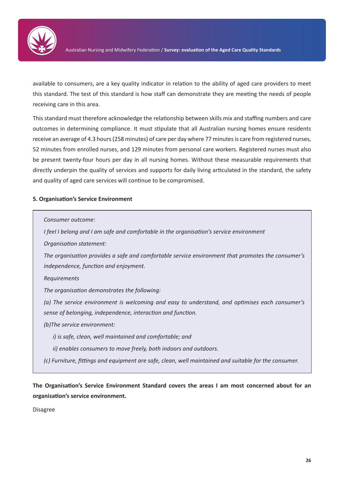

available to consumers, are a key quality indicator in relation to the ability of aged care providers to meet this standard. The test of this standard is how staff can demonstrate they are meeting the needs of people receiving care in this area.

This standard must therefore acknowledge the relationship between skills mix and staffing numbers and care outcomes in determining compliance. It must stipulate that all Australian nursing homes ensure residents receive an average of 4.3 hours (258 minutes) of care per day where 77 minutes is care from registered nurses, 52 minutes from enrolled nurses, and 129 minutes from personal care workers. Registered nurses must also be present twenty-four hours per day in all nursing homes. Without these measurable requirements that directly underpin the quality of services and supports for daily living articulated in the standard, the safety and quality of aged care services will continue to be compromised.

#### **5. Organisation's Service Environment**

| Consumer outcome:                                                                                                                                             |
|---------------------------------------------------------------------------------------------------------------------------------------------------------------|
| I feel I belong and I am safe and comfortable in the organisation's service environment                                                                       |
| Organisation statement:                                                                                                                                       |
| The organisation provides a safe and comfortable service environment that promotes the consumer's<br>independence, function and enjoyment.                    |
| Requirements                                                                                                                                                  |
| The organisation demonstrates the following:                                                                                                                  |
| (a) The service environment is welcoming and easy to understand, and optimises each consumer's<br>sense of belonging, independence, interaction and function. |
| (b) The service environment:                                                                                                                                  |
| i) is safe, clean, well maintained and comfortable; and                                                                                                       |
| ii) enables consumers to move freely, both indoors and outdoors.                                                                                              |
| (c) Furniture, fittings and equipment are safe, clean, well maintained and suitable for the consumer.                                                         |

**The Organisation's Service Environment Standard covers the areas I am most concerned about for an organisation's service environment.**

Disagree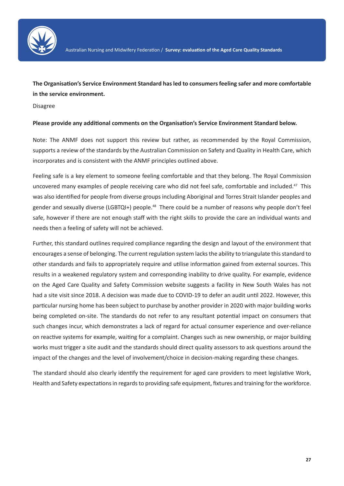

**The Organisation's Service Environment Standard has led to consumers feeling safer and more comfortable in the service environment.**

Disagree

#### **Please provide any additional comments on the Organisation's Service Environment Standard below.**

Note: The ANMF does not support this review but rather, as recommended by the Royal Commission, supports a review of the standards by the Australian Commission on Safety and Quality in Health Care, which incorporates and is consistent with the ANMF principles outlined above.

Feeling safe is a key element to someone feeling comfortable and that they belong. The Royal Commission uncovered many examples of people receiving care who did not feel safe, comfortable and included.<sup>47</sup> This was also identified for people from diverse groups including Aboriginal and Torres Strait Islander peoples and gender and sexually diverse (LGBTQI+) people.<sup>48</sup> There could be a number of reasons why people don't feel safe, however if there are not enough staff with the right skills to provide the care an individual wants and needs then a feeling of safety will not be achieved.

Further, this standard outlines required compliance regarding the design and layout of the environment that encourages a sense of belonging. The current regulation system lacks the ability to triangulate this standard to other standards and fails to appropriately require and utilise information gained from external sources. This results in a weakened regulatory system and corresponding inability to drive quality. For example, evidence on the Aged Care Quality and Safety Commission website suggests a facility in New South Wales has not had a site visit since 2018. A decision was made due to COVID-19 to defer an audit until 2022. However, this particular nursing home has been subject to purchase by another provider in 2020 with major building works being completed on-site. The standards do not refer to any resultant potential impact on consumers that such changes incur, which demonstrates a lack of regard for actual consumer experience and over-reliance on reactive systems for example, waiting for a complaint. Changes such as new ownership, or major building works must trigger a site audit and the standards should direct quality assessors to ask questions around the impact of the changes and the level of involvement/choice in decision-making regarding these changes.

The standard should also clearly identify the requirement for aged care providers to meet legislative Work, Health and Safety expectations in regards to providing safe equipment, fixtures and training for the workforce.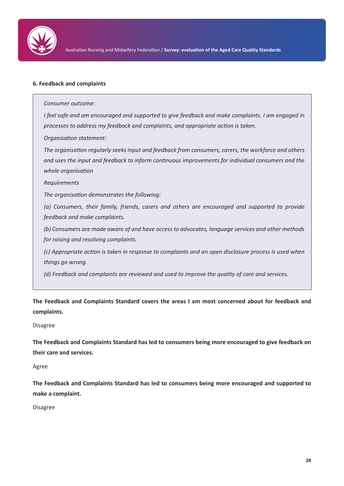

#### **6. Feedback and complaints**

*Consumer outcome:*

*I feel safe and am encouraged and supported to give feedback and make complaints. I am engaged in processes to address my feedback and complaints, and appropriate action is taken.*

*Organisation statement:*

*The organisation regularly seeks input and feedback from consumers, carers, the workforce and others and uses the input and feedback to inform continuous improvements for individual consumers and the whole organisation*

*Requirements*

*The organisation demonstrates the following:*

*(a) Consumers, their family, friends, carers and others are encouraged and supported to provide feedback and make complaints.*

*(b) Consumers are made aware of and have access to advocates, language services and other methods for raising and resolving complaints.*

*(c) Appropriate action is taken in response to complaints and an open disclosure process is used when things go wrong.*

*(d) Feedback and complaints are reviewed and used to improve the quality of care and services.*

**The Feedback and Complaints Standard covers the areas I am most concerned about for feedback and complaints.**

Disagree

**The Feedback and Complaints Standard has led to consumers being more encouraged to give feedback on their care and services.**

Agree

**The Feedback and Complaints Standard has led to consumers being more encouraged and supported to make a complaint.**

Disagree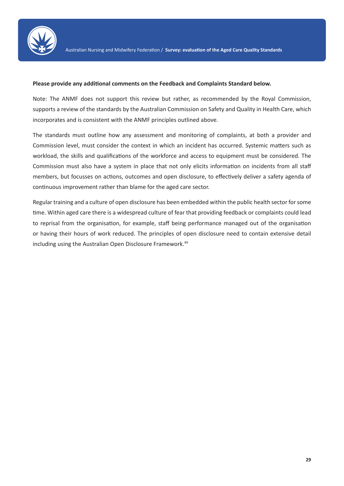

#### **Please provide any additional comments on the Feedback and Complaints Standard below.**

Note: The ANMF does not support this review but rather, as recommended by the Royal Commission, supports a review of the standards by the Australian Commission on Safety and Quality in Health Care, which incorporates and is consistent with the ANMF principles outlined above.

The standards must outline how any assessment and monitoring of complaints, at both a provider and Commission level, must consider the context in which an incident has occurred. Systemic matters such as workload, the skills and qualifications of the workforce and access to equipment must be considered. The Commission must also have a system in place that not only elicits information on incidents from all staff members, but focusses on actions, outcomes and open disclosure, to effectively deliver a safety agenda of continuous improvement rather than blame for the aged care sector.

Regular training and a culture of open disclosure has been embedded within the public health sector for some time. Within aged care there is a widespread culture of fear that providing feedback or complaints could lead to reprisal from the organisation, for example, staff being performance managed out of the organisation or having their hours of work reduced. The principles of open disclosure need to contain extensive detail including using the Australian Open Disclosure Framework.<sup>49</sup>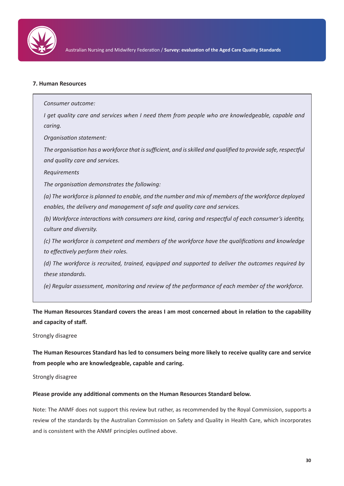

#### **7. Human Resources**

*I get quality care and services when I need them from people who are knowledgeable, capable and caring.*

*Organisation statement:*

*Consumer outcome:*

*The organisation has a workforce that is sufficient, and is skilled and qualified to provide safe, respectful and quality care and services.*

*Requirements*

*The organisation demonstrates the following:*

*(a) The workforce is planned to enable, and the number and mix of members of the workforce deployed enables, the delivery and management of safe and quality care and services.*

*(b) Workforce interactions with consumers are kind, caring and respectful of each consumer's identity, culture and diversity.*

*(c) The workforce is competent and members of the workforce have the qualifications and knowledge to effectively perform their roles.*

*(d) The workforce is recruited, trained, equipped and supported to deliver the outcomes required by these standards.*

*(e) Regular assessment, monitoring and review of the performance of each member of the workforce.*

**The Human Resources Standard covers the areas I am most concerned about in relation to the capability and capacity of staff.**

Strongly disagree

**The Human Resources Standard has led to consumers being more likely to receive quality care and service from people who are knowledgeable, capable and caring.**

Strongly disagree

#### **Please provide any additional comments on the Human Resources Standard below.**

Note: The ANMF does not support this review but rather, as recommended by the Royal Commission, supports a review of the standards by the Australian Commission on Safety and Quality in Health Care, which incorporates and is consistent with the ANMF principles outlined above.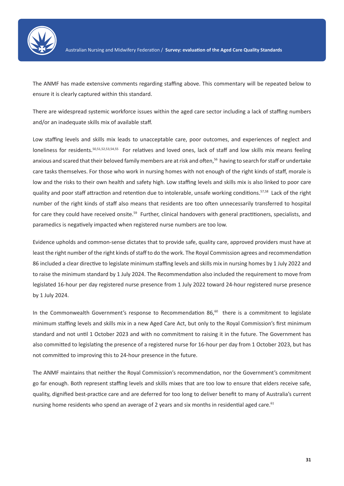

The ANMF has made extensive comments regarding staffing above. This commentary will be repeated below to ensure it is clearly captured within this standard.

There are widespread systemic workforce issues within the aged care sector including a lack of staffing numbers and/or an inadequate skills mix of available staff.

Low staffing levels and skills mix leads to unacceptable care, poor outcomes, and experiences of neglect and loneliness for residents.<sup>50,51,52,53,54,55</sup> For relatives and loved ones, lack of staff and low skills mix means feeling anxious and scared that their beloved family members are at risk and often,<sup>56</sup> having to search for staff or undertake care tasks themselves. For those who work in nursing homes with not enough of the right kinds of staff, morale is low and the risks to their own health and safety high. Low staffing levels and skills mix is also linked to poor care quality and poor staff attraction and retention due to intolerable, unsafe working conditions.<sup>57,58</sup> Lack of the right number of the right kinds of staff also means that residents are too often unnecessarily transferred to hospital for care they could have received onsite.<sup>59</sup> Further, clinical handovers with general practitioners, specialists, and paramedics is negatively impacted when registered nurse numbers are too low.

Evidence upholds and common-sense dictates that to provide safe, quality care, approved providers must have at least the right number of the right kinds of staff to do the work. The Royal Commission agrees and recommendation 86 included a clear directive to legislate minimum staffing levels and skills mix in nursing homes by 1 July 2022 and to raise the minimum standard by 1 July 2024. The Recommendation also included the requirement to move from legislated 16-hour per day registered nurse presence from 1 July 2022 toward 24-hour registered nurse presence by 1 July 2024.

In the Commonwealth Government's response to Recommendation  $86,60$  there is a commitment to legislate minimum staffing levels and skills mix in a new Aged Care Act, but only to the Royal Commission's first minimum standard and not until 1 October 2023 and with no commitment to raising it in the future. The Government has also committed to legislating the presence of a registered nurse for 16-hour per day from 1 October 2023, but has not committed to improving this to 24-hour presence in the future.

The ANMF maintains that neither the Royal Commission's recommendation, nor the Government's commitment go far enough. Both represent staffing levels and skills mixes that are too low to ensure that elders receive safe, quality, dignified best-practice care and are deferred for too long to deliver benefit to many of Australia's current nursing home residents who spend an average of 2 years and six months in residential aged care.<sup>61</sup>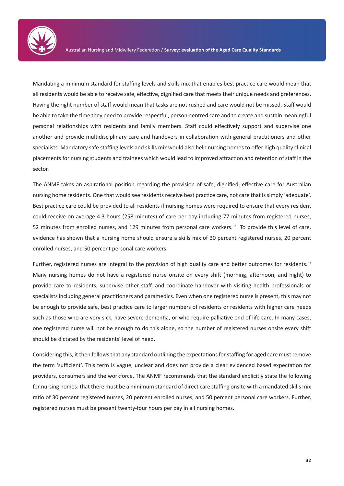

Mandating a minimum standard for staffing levels and skills mix that enables best practice care would mean that all residents would be able to receive safe, effective, dignified care that meets their unique needs and preferences. Having the right number of staff would mean that tasks are not rushed and care would not be missed. Staff would be able to take the time they need to provide respectful, person-centred care and to create and sustain meaningful personal relationships with residents and family members. Staff could effectively support and supervise one another and provide multidisciplinary care and handovers in collaboration with general practitioners and other specialists. Mandatory safe staffing levels and skills mix would also help nursing homes to offer high quality clinical placements for nursing students and trainees which would lead to improved attraction and retention of staff in the sector.

The ANMF takes an aspirational position regarding the provision of safe, dignified, effective care for Australian nursing home residents. One that would see residents receive best practice care, not care that is simply 'adequate'. Best practice care could be provided to all residents if nursing homes were required to ensure that every resident could receive on average 4.3 hours (258 minutes) of care per day including 77 minutes from registered nurses, 52 minutes from enrolled nurses, and 129 minutes from personal care workers.<sup>62</sup> To provide this level of care, evidence has shown that a nursing home should ensure a skills mix of 30 percent registered nurses, 20 percent enrolled nurses, and 50 percent personal care workers.

Further, registered nurses are integral to the provision of high quality care and better outcomes for residents.<sup>63</sup> Many nursing homes do not have a registered nurse onsite on every shift (morning, afternoon, and night) to provide care to residents, supervise other staff, and coordinate handover with visiting health professionals or specialists including general practitioners and paramedics. Even when one registered nurse is present, this may not be enough to provide safe, best practice care to larger numbers of residents or residents with higher care needs such as those who are very sick, have severe dementia, or who require palliative end of life care. In many cases, one registered nurse will not be enough to do this alone, so the number of registered nurses onsite every shift should be dictated by the residents' level of need.

Considering this, it then follows that any standard outlining the expectations for staffing for aged care must remove the term 'sufficient'. This term is vague, unclear and does not provide a clear evidenced based expectation for providers, consumers and the workforce. The ANMF recommends that the standard explicitly state the following for nursing homes: that there must be a minimum standard of direct care staffing onsite with a mandated skills mix ratio of 30 percent registered nurses, 20 percent enrolled nurses, and 50 percent personal care workers. Further, registered nurses must be present twenty-four hours per day in all nursing homes.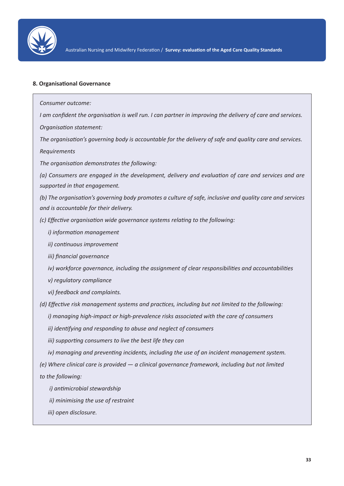

#### **8. Organisational Governance**

*Consumer outcome:*

*I am confident the organisation is well run. I can partner in improving the delivery of care and services.*

*Organisation statement:*

*The organisation's governing body is accountable for the delivery of safe and quality care and services. Requirements*

*The organisation demonstrates the following:*

*(a) Consumers are engaged in the development, delivery and evaluation of care and services and are supported in that engagement.*

*(b) The organisation's governing body promotes a culture of safe, inclusive and quality care and services and is accountable for their delivery.*

*(c) Effective organisation wide governance systems relating to the following:*

*i) information management*

*ii) continuous improvement*

*iii) financial governance*

*iv) workforce governance, including the assignment of clear responsibilities and accountabilities*

*v) regulatory compliance*

*vi) feedback and complaints.*

*(d) Effective risk management systems and practices, including but not limited to the following:*

*i) managing high-impact or high-prevalence risks associated with the care of consumers*

*ii) identifying and responding to abuse and neglect of consumers*

*iii) supporting consumers to live the best life they can*

*iv) managing and preventing incidents, including the use of an incident management system.*

*(e) Where clinical care is provided — a clinical governance framework, including but not limited*

*to the following:*

- *i) antimicrobial stewardship*
- *ii) minimising the use of restraint*
- *iii) open disclosure.*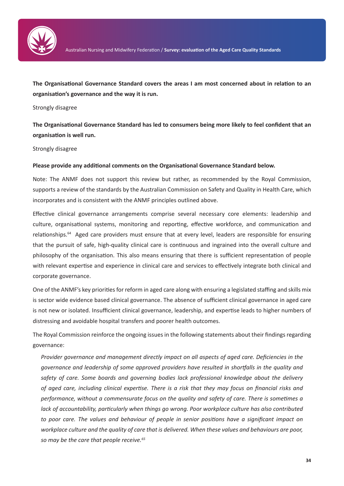

**The Organisational Governance Standard covers the areas I am most concerned about in relation to an organisation's governance and the way it is run.**

#### Strongly disagree

**The Organisational Governance Standard has led to consumers being more likely to feel confident that an organisation is well run.**

#### Strongly disagree

#### **Please provide any additional comments on the Organisational Governance Standard below.**

Note: The ANMF does not support this review but rather, as recommended by the Royal Commission, supports a review of the standards by the Australian Commission on Safety and Quality in Health Care, which incorporates and is consistent with the ANMF principles outlined above.

Effective clinical governance arrangements comprise several necessary core elements: leadership and culture, organisational systems, monitoring and reporting, effective workforce, and communication and relationships.<sup>64</sup> Aged care providers must ensure that at every level, leaders are responsible for ensuring that the pursuit of safe, high-quality clinical care is continuous and ingrained into the overall culture and philosophy of the organisation. This also means ensuring that there is sufficient representation of people with relevant expertise and experience in clinical care and services to effectively integrate both clinical and corporate governance.

One of the ANMF's key priorities for reform in aged care along with ensuring a legislated staffing and skills mix is sector wide evidence based clinical governance. The absence of sufficient clinical governance in aged care is not new or isolated. Insufficient clinical governance, leadership, and expertise leads to higher numbers of distressing and avoidable hospital transfers and poorer health outcomes.

The Royal Commission reinforce the ongoing issues in the following statements about their findings regarding governance:

*Provider governance and management directly impact on all aspects of aged care. Deficiencies in the governance and leadership of some approved providers have resulted in shortfalls in the quality and safety of care. Some boards and governing bodies lack professional knowledge about the delivery of aged care, including clinical expertise. There is a risk that they may focus on financial risks and performance, without a commensurate focus on the quality and safety of care. There is sometimes a lack of accountability, particularly when things go wrong. Poor workplace culture has also contributed to poor care. The values and behaviour of people in senior positions have a significant impact on workplace culture and the quality of care that is delivered. When these values and behaviours are poor, so may be the care that people receive.65*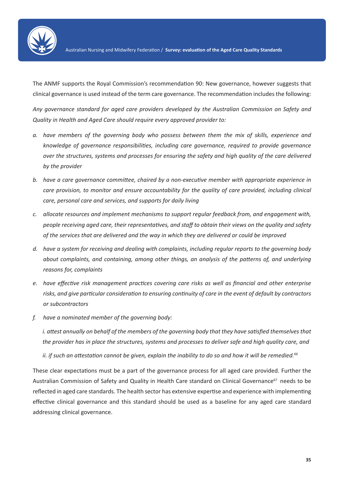

The ANMF supports the Royal Commission's recommendation 90: New governance, however suggests that clinical governance is used instead of the term care governance. The recommendation includes the following:

*Any governance standard for aged care providers developed by the Australian Commission on Safety and Quality in Health and Aged Care should require every approved provider to:* 

- *a. have members of the governing body who possess between them the mix of skills, experience and knowledge of governance responsibilities, including care governance, required to provide governance over the structures, systems and processes for ensuring the safety and high quality of the care delivered by the provider*
- *b. have a care governance committee, chaired by a non-executive member with appropriate experience in care provision, to monitor and ensure accountability for the quality of care provided, including clinical care, personal care and services, and supports for daily living*
- *c. allocate resources and implement mechanisms to support regular feedback from, and engagement with, people receiving aged care, their representatives, and staff to obtain their views on the quality and safety of the services that are delivered and the way in which they are delivered or could be improved*
- *d. have a system for receiving and dealing with complaints, including regular reports to the governing body about complaints, and containing, among other things, an analysis of the patterns of, and underlying reasons for, complaints*
- *e. have effective risk management practices covering care risks as well as financial and other enterprise risks, and give particular consideration to ensuring continuity of care in the event of default by contractors or subcontractors*
- *f. have a nominated member of the governing body:*

*i. attest annually on behalf of the members of the governing body that they have satisfied themselves that the provider has in place the structures, systems and processes to deliver safe and high quality care, and* 

*ii. if such an attestation cannot be given, explain the inability to do so and how it will be remedied.<sup>66</sup>*

These clear expectations must be a part of the governance process for all aged care provided. Further the Australian Commission of Safety and Quality in Health Care standard on Clinical Governance<sup>67</sup> needs to be reflected in aged care standards. The health sector has extensive expertise and experience with implementing effective clinical governance and this standard should be used as a baseline for any aged care standard addressing clinical governance.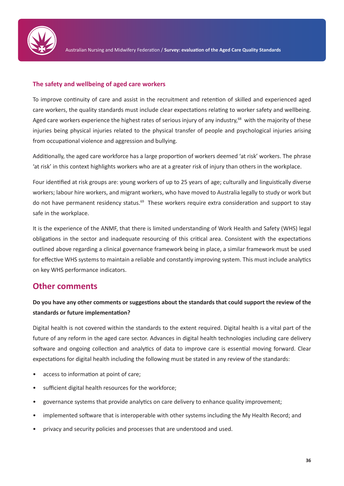

#### **The safety and wellbeing of aged care workers**

To improve continuity of care and assist in the recruitment and retention of skilled and experienced aged care workers, the quality standards must include clear expectations relating to worker safety and wellbeing. Aged care workers experience the highest rates of serious injury of any industry,<sup>68</sup> with the majority of these injuries being physical injuries related to the physical transfer of people and psychological injuries arising from occupational violence and aggression and bullying.

Additionally, the aged care workforce has a large proportion of workers deemed 'at risk' workers. The phrase 'at risk' in this context highlights workers who are at a greater risk of injury than others in the workplace.

Four identified at risk groups are: young workers of up to 25 years of age; culturally and linguistically diverse workers; labour hire workers, and migrant workers, who have moved to Australia legally to study or work but do not have permanent residency status.<sup>69</sup> These workers require extra consideration and support to stay safe in the workplace.

It is the experience of the ANMF, that there is limited understanding of Work Health and Safety (WHS) legal obligations in the sector and inadequate resourcing of this critical area. Consistent with the expectations outlined above regarding a clinical governance framework being in place, a similar framework must be used for effective WHS systems to maintain a reliable and constantly improving system. This must include analytics on key WHS performance indicators.

### **Other comments**

### **Do you have any other comments or suggestions about the standards that could support the review of the standards or future implementation?**

Digital health is not covered within the standards to the extent required. Digital health is a vital part of the future of any reform in the aged care sector. Advances in digital health technologies including care delivery software and ongoing collection and analytics of data to improve care is essential moving forward. Clear expectations for digital health including the following must be stated in any review of the standards:

- access to information at point of care;
- sufficient digital health resources for the workforce;
- governance systems that provide analytics on care delivery to enhance quality improvement;
- implemented software that is interoperable with other systems including the My Health Record; and
- privacy and security policies and processes that are understood and used.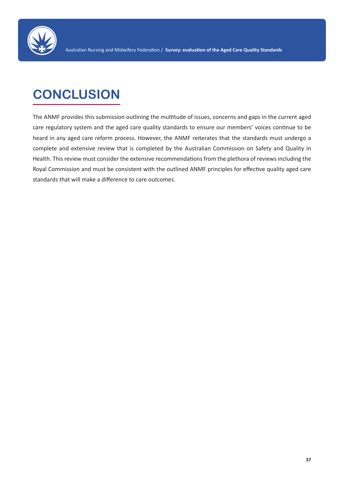

# **CONCLUSION**

The ANMF provides this submission outlining the multitude of issues, concerns and gaps in the current aged care regulatory system and the aged care quality standards to ensure our members' voices continue to be heard in any aged care reform process. However, the ANMF reiterates that the standards must undergo a complete and extensive review that is completed by the Australian Commission on Safety and Quality in Health. This review must consider the extensive recommendations from the plethora of reviews including the Royal Commission and must be consistent with the outlined ANMF principles for effective quality aged care standards that will make a difference to care outcomes.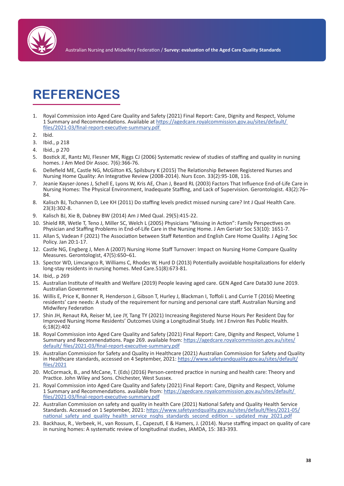

# **REFERENCES**

- 1. Royal Commission into Aged Care Quality and Safety (2021) Final Report: Care, Dignity and Respect, Volume 1 Summary and Recommendations. Available at https://agedcare.royalcommission.gov.au/sites/default/ files/2021-03/final-report-executive-summary.pdf
- 2. Ibid.
- 3. Ibid., p 218
- 4. Ibid., p 270
- 5. Bostick JE, Rantz MJ, Flesner MK, Riggs CJ (2006) Systematic review of studies of staffing and quality in nursing homes. J Am Med Dir Assoc. 7(6):366-76.
- 6. Dellefield ME, Castle NG, McGilton KS, Spilsbury K (2015) The Relationship Between Registered Nurses and Nursing Home Quality: An Integrative Review (2008-2014). Nurs Econ. 33(2):95-108, 116.
- 7. Jeanie Kayser-Jones J, Schell E, Lyons W, Kris AE, Chan J, Beard RL (2003) Factors That Influence End-of-Life Care in Nursing Homes: The Physical Environment, Inadequate Staffing, and Lack of Supervision. Gerontologist. 43(2):76– 84.
- 8. Kalisch BJ, Tschannen D, Lee KH (2011) Do staffing levels predict missed nursing care? Int J Qual Health Care. 23(3):302-8.
- 9. Kalisch BJ, Xie B, Dabney BW (2014) Am J Med Qual. 29(5):415-22.
- 10. Shield RR, Wetle T, Teno J, Miller SC, Welch L (2005) Physicians "Missing in Action": Family Perspectives on Physician and Staffing Problems in End-of-Life Care in the Nursing Home. J Am Geriatr Soc 53(10): 1651-7.
- 11. Allan S, Vadean F (2021) The Association between Staff Retention and English Care Home Quality. J Aging Soc Policy. Jan 20:1-17.
- 12. Castle NG, Engberg J, Men A (2007) Nursing Home Staff Turnover: Impact on Nursing Home Compare Quality Measures. Gerontologist, 47(5):650–61.
- 13. Spector WD, Limcangco R, Williams C, Rhodes W, Hurd D (2013) Potentially avoidable hospitalizations for elderly long-stay residents in nursing homes. Med Care.51(8):673-81.
- 14. Ibid,. p 269
- 15. Australian Institute of Health and Welfare (2019) People leaving aged care. GEN Aged Care Data30 June 2019. Australian Government
- 16. Willis E, Price K, Bonner R, Henderson J, Gibson T, Hurley J, Blackman I, Toffoli L and Currie T (2016) Meeting residents' care needs: A study of the requirement for nursing and personal care staff. Australian Nursing and Midwifery Federation
- 17. Shin JH, Renaut RA, Reiser M, Lee JY, Tang TY (2021) Increasing Registered Nurse Hours Per Resident Day for Improved Nursing Home Residents' Outcomes Using a Longitudinal Study. Int J Environ Res Public Health. 6;18(2):402
- 18. Royal Commission into Aged Care Quality and Safety (2021) Final Report: Care, Dignity and Respect, Volume 1 Summary and Recommendations. Page 269. available from: https://agedcare.royalcommission.gov.au/sites/ default/ files/2021-03/final-report-executive-summary.pdf
- 19. Australian Commission for Safety and Quality in Healthcare (2021) Australian Commission for Safety and Quality in Healthcare standards, accessed on 4 September, 2021: https://www.safetyandquality.gov.au/sites/default/ files/2021
- 20. McCormack, B., and McCane, T. (Eds) (2016) Person-centred practice in nursing and health care: Theory and Practice. John Wiley and Sons. Chichester, West Sussex.
- 21. Royal Commission into Aged Care Quality and Safety (2021) Final Report: Care, Dignity and Respect, Volume 1 Summary and Recommendations. available from: https://agedcare.royalcommission.gov.au/sites/default/ files/2021-03/final-report-executive-summary.pdf
- 22. Australian Commission on safety and quality in health Care (2021) National Safety and Quality Health Service Standards. Accessed on 1 September, 2021: https://www.safetyandquality.gov.au/sites/default/files/2021-05/ national\_safety\_and\_quality\_health\_service\_nsqhs\_standards\_second\_edition\_-\_updated\_may\_2021.pdf
- 23. Backhaus, R., Verbeek, H., van Rossum, E., Capezuti, E & Hamers, J. (2014). Nurse staffing impact on quality of care in nursing homes: A systematic review of longitudinal studies, JAMDA, 15: 383-393.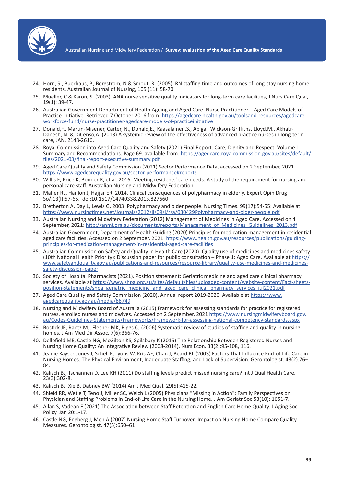

Australian Nursing and Midwifery Federation / **Survey: evaluation of the Aged Care Quality Standards**

- 24. Horn, S., Buerhaus, P., Bergstrom, N & Smout, R. (2005). RN staffing time and outcomes of long-stay nursing home residents, Australian Journal of Nursing, 105 (11): 58-70.
- 25. Mueller, C & Karon, S. (2003). ANA nurse sensitive quality indicators for long-term care facilities, J Nurs Care Qual, 19(1): 39-47.
- 26. Australian Government Department of Health Ageing and Aged Care. Nurse Practitioner Aged Care Models of Practice Initiative. Retrieved 7 October 2016 from: https://agedcare.health.gov.au/toolsand-resources/agedcareworkforce-fund/nurse-practitioner-agedcare-models-of-practiceinitiative
- 27. Donald,F., Martin-Misener, Carter, N., Donald,E., Kaasalainen,S., Abigail Wickson-Griffiths, Lloyd,M., Akhatr-Danesh, N. & DiCenso,A. (2013) A systemic review of the effectiveness of advanced practice nurses in long-term care, JAN. 2148-2616.
- 28. Royal Commission into Aged Care Quality and Safety (2021) Final Report: Care, Dignity and Respect, Volume 1 Summary and Recommendations. Page 69. available from: https://agedcare.royalcommission.gov.au/sites/default/ files/2021-03/final-report-executive-summary.pdf
- 29. Aged Care Quality and Safety Commission (2021) Sector Performance Data, accessed on 2 September, 2021 https://www.agedcarequality.gov.au/sector-performance#reports
- 30. Willis E, Price K, Bonner R, et al. 2016. Meeting residents' care needs: A study of the requirement for nursing and personal care staff. Australian Nursing and Midwifery Federation
- 31. Maher RL, Hanlon J, Hajjar ER. 2014. Clinical consequences of polypharmacy in elderly. Expert Opin Drug So/.13(l):57-65. doi:10.1517/14740338.2013.827660
- 32. Bretherton A, Day L, Lewis G. 2003. Polypharmacy and older people. Nursing Times. 99(17):54-55: Available at https://www.nursingtimes.net/Journals/2012/ll/09/i/r/a/030429Polvpharmacv-and-older-people.pdf
- 33. Australian Nursing and Midwifery Federation (2012) Management of Medicines in Aged Care. Accessed on 4 September, 2021: http://anmf.org.au/documents/reports/Management\_of\_Medicines\_Guidelines\_2013.pdf
- 34. Australian Government, Department of Health Guiding (2020) Principles for medication management in residential aged care facilities. Accessed on 2 September, 2021: https://www.health.gov.au/resources/publications/guidingprinciples-for-medication-management-in-residential-aged-care-facilities
- 35. Australian Commission on Safety and Quality in Health Care (2020). Quality use of medicines and medicines safety (10th National Health Priority): Discussion paper for public consultation – Phase 1: Aged Care. Available at https:// www.safetyandquality.gov.au/publications-and-resources/resource-library/quality-use-medicines-and-medicinessafety-discussion-paper
- 36. Society of Hospital Pharmacists (2021). Position statement: Geriatric medicine and aged care clinical pharmacy services. Available at https://www.shpa.org.au/sites/default/files/uploaded-content/website-content/Fact-sheetsposition-statements/shpa\_geriatric\_medicine\_and\_aged\_care\_clinical\_pharmacy\_services\_jul2021.pdf
- 37. Aged Care Quality and Safety Commission (2020). Annual report 2019-2020. Available at https://www. agedcarequality.gov.au/media/88749
- 38. Nursing and Midwifery Board of Australia (2015) Framework for assessing standards for practice for registered nurses, enrolled nurses and midwives. Accessed on 2 September, 2021 https://www.nursingmidwiferyboard.gov. au/Codes-Guidelines-Statements/Frameworks/Framework-for-assessing-national-competency-standards.aspx
- 39. Bostick JE, Rantz MJ, Flesner MK, Riggs CJ (2006) Systematic review of studies of staffing and quality in nursing homes. J Am Med Dir Assoc. 7(6):366-76.
- 40. Dellefield ME, Castle NG, McGilton KS, Spilsbury K (2015) The Relationship Between Registered Nurses and Nursing Home Quality: An Integrative Review (2008-2014). Nurs Econ. 33(2):95-108, 116.
- 41. Jeanie Kayser-Jones J, Schell E, Lyons W, Kris AE, Chan J, Beard RL (2003) Factors That Influence End-of-Life Care in Nursing Homes: The Physical Environment, Inadequate Staffing, and Lack of Supervision. Gerontologist. 43(2):76– 84.
- 42. Kalisch BJ, Tschannen D, Lee KH (2011) Do staffing levels predict missed nursing care? Int J Qual Health Care. 23(3):302-8.
- 43. Kalisch BJ, Xie B, Dabney BW (2014) Am J Med Qual. 29(5):415-22.
- 44. Shield RR, Wetle T, Teno J, Miller SC, Welch L (2005) Physicians "Missing in Action": Family Perspectives on Physician and Staffing Problems in End-of-Life Care in the Nursing Home. J Am Geriatr Soc 53(10): 1651-7.
- 45. Allan S, Vadean F (2021) The Association between Staff Retention and English Care Home Quality. J Aging Soc Policy. Jan 20:1-17.
- 46. Castle NG, Engberg J, Men A (2007) Nursing Home Staff Turnover: Impact on Nursing Home Compare Quality Measures. Gerontologist, 47(5):650–61